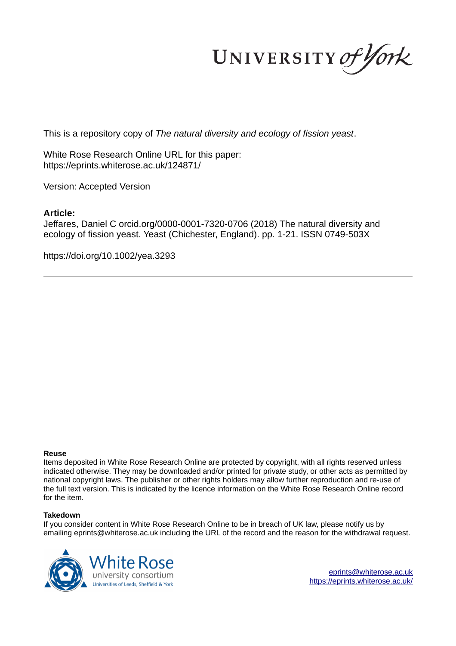UNIVERSITY of York

This is a repository copy of *The natural diversity and ecology of fission yeast*.

White Rose Research Online URL for this paper: https://eprints.whiterose.ac.uk/124871/

Version: Accepted Version

#### **Article:**

Jeffares, Daniel C orcid.org/0000-0001-7320-0706 (2018) The natural diversity and ecology of fission yeast. Yeast (Chichester, England). pp. 1-21. ISSN 0749-503X

https://doi.org/10.1002/yea.3293

#### **Reuse**

Items deposited in White Rose Research Online are protected by copyright, with all rights reserved unless indicated otherwise. They may be downloaded and/or printed for private study, or other acts as permitted by national copyright laws. The publisher or other rights holders may allow further reproduction and re-use of the full text version. This is indicated by the licence information on the White Rose Research Online record for the item.

#### **Takedown**

If you consider content in White Rose Research Online to be in breach of UK law, please notify us by emailing eprints@whiterose.ac.uk including the URL of the record and the reason for the withdrawal request.



eprints@whiterose.ac.uk https://eprints.whiterose.ac.uk/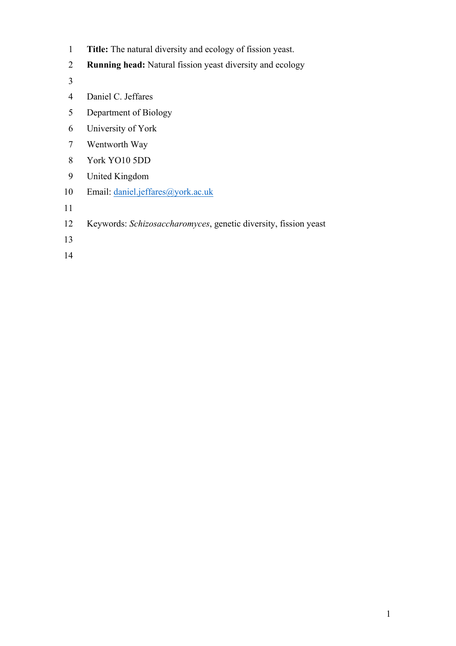- 1 **Title:** The natural diversity and ecology of fission yeast.
- 2 **Running head:** Natural fission yeast diversity and ecology
- 3
- 4 Daniel C. Jeffares
- 5 Department of Biology
- 6 University of York
- 7 Wentworth Way
- 8 York YO10 5DD
- 9 United Kingdom
- 10 Email: daniel.jeffares@york.ac.uk
- 11
- 12 Keywords: *Schizosaccharomyces*, genetic diversity, fission yeast
- 13
- 14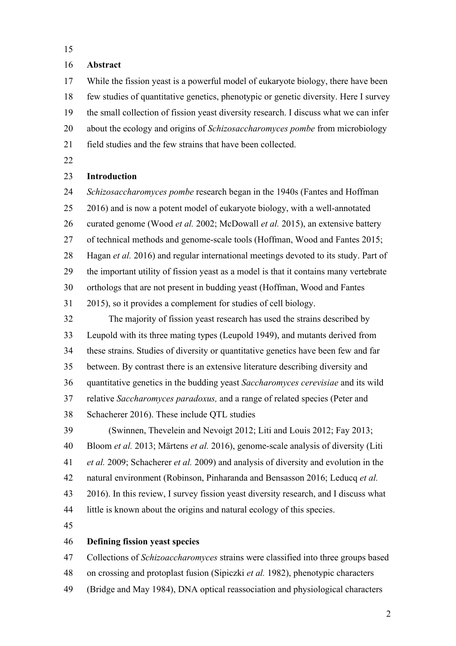# 16 **Abstract**

17 While the fission yeast is a powerful model of eukaryote biology, there have been 18 few studies of quantitative genetics, phenotypic or genetic diversity. Here I survey 19 the small collection of fission yeast diversity research. I discuss what we can infer 20 about the ecology and origins of *Schizosaccharomyces pombe* from microbiology 21 field studies and the few strains that have been collected.

22

# 23 **Introduction**

24 *Schizosaccharomyces pombe* research began in the 1940s (Fantes and Hoffman 25 2016) and is now a potent model of eukaryote biology, with a well-annotated 26 curated genome (Wood *et al.* 2002; McDowall *et al.* 2015), an extensive battery 27 of technical methods and genome-scale tools (Hoffman, Wood and Fantes 2015; 28 Hagan *et al.* 2016) and regular international meetings devoted to its study. Part of 29 the important utility of fission yeast as a model is that it contains many vertebrate 30 orthologs that are not present in budding yeast (Hoffman, Wood and Fantes 31 2015), so it provides a complement for studies of cell biology. 32 The majority of fission yeast research has used the strains described by 33 Leupold with its three mating types (Leupold 1949), and mutants derived from 34 these strains. Studies of diversity or quantitative genetics have been few and far 35 between. By contrast there is an extensive literature describing diversity and 36 quantitative genetics in the budding yeast *Saccharomyces cerevisiae* and its wild 37 relative *Saccharomyces paradoxus,* and a range of related species (Peter and 38 Schacherer 2016). These include QTL studies 39 (Swinnen, Thevelein and Nevoigt 2012; Liti and Louis 2012; Fay 2013; 40 Bloom *et al.* 2013; Märtens *et al.* 2016), genome-scale analysis of diversity (Liti 41 *et al.* 2009; Schacherer *et al.* 2009) and analysis of diversity and evolution in the 42 natural environment (Robinson, Pinharanda and Bensasson 2016; Leducq *et al.* 43 2016). In this review, I survey fission yeast diversity research, and I discuss what 44 little is known about the origins and natural ecology of this species.

45

### 46 **Defining fission yeast species**

47 Collections of *Schizoaccharomyces* strains were classified into three groups based 48 on crossing and protoplast fusion (Sipiczki *et al.* 1982), phenotypic characters 49 (Bridge and May 1984), DNA optical reassociation and physiological characters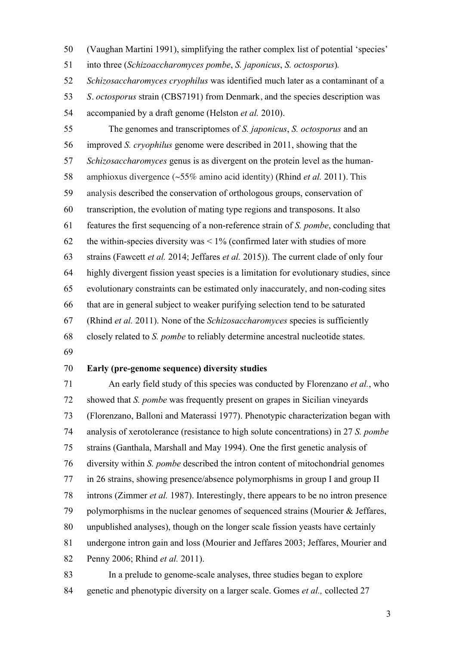50 (Vaughan Martini 1991), simplifying the rather complex list of potential 'species' 51 into three (*Schizoaccharomyces pombe*, *S. japonicus*, *S. octosporus*)*.*  52 *Schizosaccharomyces cryophilus* was identified much later as a contaminant of a 53 *S. octosporus* strain (CBS7191) from Denmark, and the species description was 54 accompanied by a draft genome (Helston *et al.* 2010). 55 The genomes and transcriptomes of *S. japonicus*, *S. octosporus* and an 56 improved *S. cryophilus* genome were described in 2011, showing that the 57 *Schizosaccharomyces* genus is as divergent on the protein level as the human-58 amphioxus divergence (~55% amino acid identity) (Rhind *et al.* 2011). This 59 analysis described the conservation of orthologous groups, conservation of 60 transcription, the evolution of mating type regions and transposons. It also 61 features the first sequencing of a non-reference strain of *S. pombe*, concluding that 62 the within-species diversity was  $\leq 1\%$  (confirmed later with studies of more 63 strains (Fawcett *et al.* 2014; Jeffares *et al.* 2015)). The current clade of only four 64 highly divergent fission yeast species is a limitation for evolutionary studies, since 65 evolutionary constraints can be estimated only inaccurately, and non-coding sites 66 that are in general subject to weaker purifying selection tend to be saturated 67 (Rhind *et al.* 2011). None of the *Schizosaccharomyces* species is sufficiently 68 closely related to *S. pombe* to reliably determine ancestral nucleotide states. 69

# 70 **Early (pre-genome sequence) diversity studies**

71 An early field study of this species was conducted by Florenzano *et al.*, who 72 showed that *S. pombe* was frequently present on grapes in Sicilian vineyards 73 (Florenzano, Balloni and Materassi 1977). Phenotypic characterization began with 74 analysis of xerotolerance (resistance to high solute concentrations) in 27 *S. pombe* 75 strains (Ganthala, Marshall and May 1994). One the first genetic analysis of 76 diversity within *S. pombe* described the intron content of mitochondrial genomes 77 in 26 strains, showing presence/absence polymorphisms in group I and group II 78 introns (Zimmer *et al.* 1987). Interestingly, there appears to be no intron presence 79 polymorphisms in the nuclear genomes of sequenced strains (Mourier & Jeffares, 80 unpublished analyses), though on the longer scale fission yeasts have certainly 81 undergone intron gain and loss (Mourier and Jeffares 2003; Jeffares, Mourier and 82 Penny 2006; Rhind *et al.* 2011).

83 In a prelude to genome-scale analyses, three studies began to explore 84 genetic and phenotypic diversity on a larger scale. Gomes *et al.,* collected 27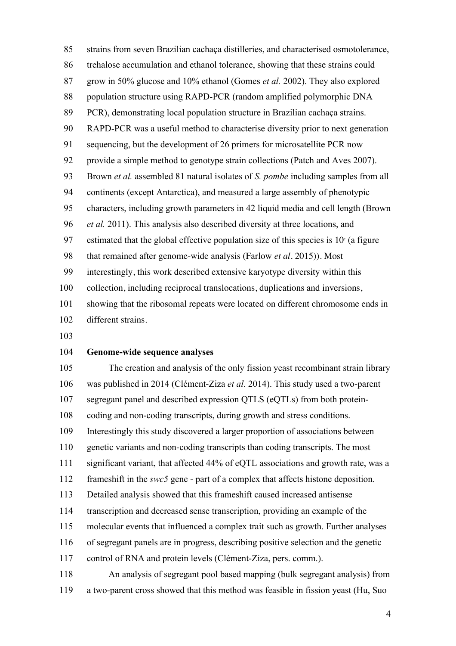85 strains from seven Brazilian cachaça distilleries, and characterised osmotolerance, 86 trehalose accumulation and ethanol tolerance, showing that these strains could 87 grow in 50% glucose and 10% ethanol (Gomes *et al.* 2002). They also explored 88 population structure using RAPD-PCR (random amplified polymorphic DNA 89 PCR), demonstrating local population structure in Brazilian cachaça strains. 90 RAPD-PCR was a useful method to characterise diversity prior to next generation 91 sequencing, but the development of 26 primers for microsatellite PCR now 92 provide a simple method to genotype strain collections (Patch and Aves 2007). 93 Brown *et al.* assembled 81 natural isolates of *S. pombe* including samples from all 94 continents (except Antarctica), and measured a large assembly of phenotypic 95 characters, including growth parameters in 42 liquid media and cell length (Brown 96 *et al.* 2011). This analysis also described diversity at three locations, and 97 estimated that the global effective population size of this species is  $10<sup>r</sup>$  (a figure 98 that remained after genome-wide analysis (Farlow *et al.* 2015)). Most 99 interestingly, this work described extensive karyotype diversity within this 100 collection, including reciprocal translocations, duplications and inversions, 101 showing that the ribosomal repeats were located on different chromosome ends in 102 different strains.

103

### 104 **Genome-wide sequence analyses**

105 The creation and analysis of the only fission yeast recombinant strain library 106 was published in 2014 (Clément-Ziza *et al.* 2014). This study used a two-parent 107 segregant panel and described expression QTLS (eQTLs) from both protein-108 coding and non-coding transcripts, during growth and stress conditions. 109 Interestingly this study discovered a larger proportion of associations between 110 genetic variants and non-coding transcripts than coding transcripts. The most 111 significant variant, that affected 44% of eQTL associations and growth rate, was a 112 frameshift in the *swc5* gene - part of a complex that affects histone deposition. 113 Detailed analysis showed that this frameshift caused increased antisense 114 transcription and decreased sense transcription, providing an example of the 115 molecular events that influenced a complex trait such as growth. Further analyses 116 of segregant panels are in progress, describing positive selection and the genetic 117 control of RNA and protein levels (Clément-Ziza, pers. comm.). 118 An analysis of segregant pool based mapping (bulk segregant analysis) from 119 a two-parent cross showed that this method was feasible in fission yeast (Hu, Suo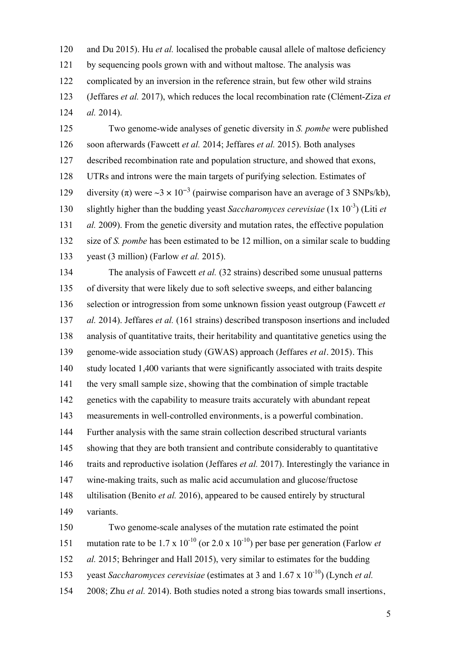120 and Du 2015). Hu *et al.* localised the probable causal allele of maltose deficiency 121 by sequencing pools grown with and without maltose. The analysis was 122 complicated by an inversion in the reference strain, but few other wild strains 123 (Jeffares *et al.* 2017), which reduces the local recombination rate (Clément-Ziza *et*  124 *al.* 2014).

125 Two genome-wide analyses of genetic diversity in *S. pombe* were published 126 soon afterwards (Fawcett *et al.* 2014; Jeffares *et al.* 2015). Both analyses 127 described recombination rate and population structure, and showed that exons, 128 UTRs and introns were the main targets of purifying selection. Estimates of diversity (π) were ~3 × 10<sup>-3</sup> (pairwise comparison have an average of 3 SNPs/kb), 130 slightly higher than the budding yeast *Saccharomyces cerevisiae* (1x 10<sup>-3</sup>) (Liti *et* 131 *al.* 2009). From the genetic diversity and mutation rates, the effective population 132 size of *S. pombe* has been estimated to be 12 million, on a similar scale to budding 133 yeast (3 million) (Farlow *et al.* 2015).

134 The analysis of Fawcett *et al.* (32 strains) described some unusual patterns 135 of diversity that were likely due to soft selective sweeps, and either balancing 136 selection or introgression from some unknown fission yeast outgroup (Fawcett *et*  137 *al.* 2014). Jeffares *et al.* (161 strains) described transposon insertions and included 138 analysis of quantitative traits, their heritability and quantitative genetics using the 139 genome-wide association study (GWAS) approach (Jeffares *et al.* 2015). This 140 study located 1,400 variants that were significantly associated with traits despite 141 the very small sample size, showing that the combination of simple tractable 142 genetics with the capability to measure traits accurately with abundant repeat 143 measurements in well-controlled environments, is a powerful combination. 144 Further analysis with the same strain collection described structural variants 145 showing that they are both transient and contribute considerably to quantitative 146 traits and reproductive isolation (Jeffares *et al.* 2017). Interestingly the variance in 147 wine-making traits, such as malic acid accumulation and glucose/fructose 148 ultilisation (Benito *et al.* 2016), appeared to be caused entirely by structural 149 variants. 150 Two genome-scale analyses of the mutation rate estimated the point

151 mutation rate to be  $1.7 \times 10^{-10}$  (or  $2.0 \times 10^{-10}$ ) per base per generation (Farlow *et* 152 *al.* 2015; Behringer and Hall 2015), very similar to estimates for the budding 153 veast *Saccharomyces cerevisiae* (estimates at 3 and 1.67 x 10<sup>-10</sup>) (Lynch *et al.*) 154 2008; Zhu *et al.* 2014). Both studies noted a strong bias towards small insertions,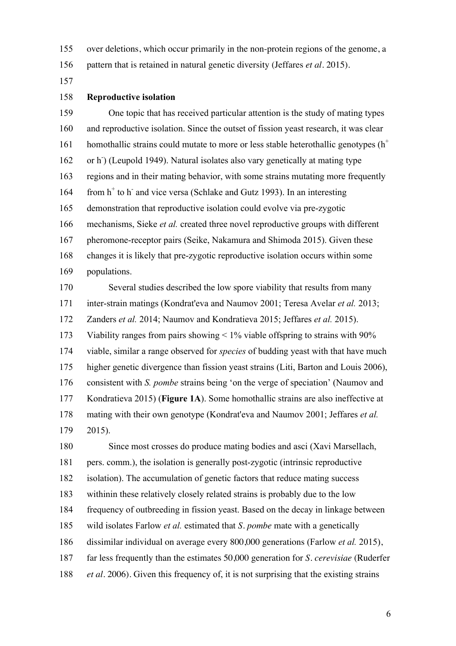155 over deletions, which occur primarily in the non-protein regions of the genome, a

156 pattern that is retained in natural genetic diversity (Jeffares *et al.* 2015).

157

### 158 **Reproductive isolation**

159 One topic that has received particular attention is the study of mating types 160 and reproductive isolation. Since the outset of fission yeast research, it was clear homothallic strains could mutate to more or less stable heterothallic genotypes  $(h<sup>+</sup>)$ 161 162 or h<sup>-</sup>) (Leupold 1949). Natural isolates also vary genetically at mating type 163 regions and in their mating behavior, with some strains mutating more frequently 164 from h<sup>+</sup> to h<sup>-</sup> and vice versa (Schlake and Gutz 1993). In an interesting 165 demonstration that reproductive isolation could evolve via pre-zygotic 166 mechanisms, Sieke *et al.* created three novel reproductive groups with different 167 pheromone-receptor pairs (Seike, Nakamura and Shimoda 2015). Given these 168 changes it is likely that pre-zygotic reproductive isolation occurs within some 169 populations.

170 Several studies described the low spore viability that results from many 171 inter-strain matings (Kondrat'eva and Naumov 2001; Teresa Avelar *et al.* 2013; 172 Zanders *et al.* 2014; Naumov and Kondratieva 2015; Jeffares *et al.* 2015). 173 Viability ranges from pairs showing < 1% viable offspring to strains with 90% 174 viable, similar a range observed for *species* of budding yeast with that have much 175 higher genetic divergence than fission yeast strains (Liti, Barton and Louis 2006), 176 consistent with *S. pombe* strains being 'on the verge of speciation' (Naumov and 177 Kondratieva 2015) (**Figure 1A**). Some homothallic strains are also ineffective at 178 mating with their own genotype (Kondrat'eva and Naumov 2001; Jeffares *et al.* 179 2015).

180 Since most crosses do produce mating bodies and asci (Xavi Marsellach, 181 pers. comm.), the isolation is generally post-zygotic (intrinsic reproductive 182 isolation). The accumulation of genetic factors that reduce mating success 183 withinin these relatively closely related strains is probably due to the low 184 frequency of outbreeding in fission yeast. Based on the decay in linkage between 185 wild isolates Farlow *et al.* estimated that *S. pombe* mate with a genetically 186 dissimilar individual on average every 800,000 generations (Farlow *et al.* 2015), 187 far less frequently than the estimates 50,000 generation for *S. cerevisiae* (Ruderfer 188 *et al.* 2006). Given this frequency of, it is not surprising that the existing strains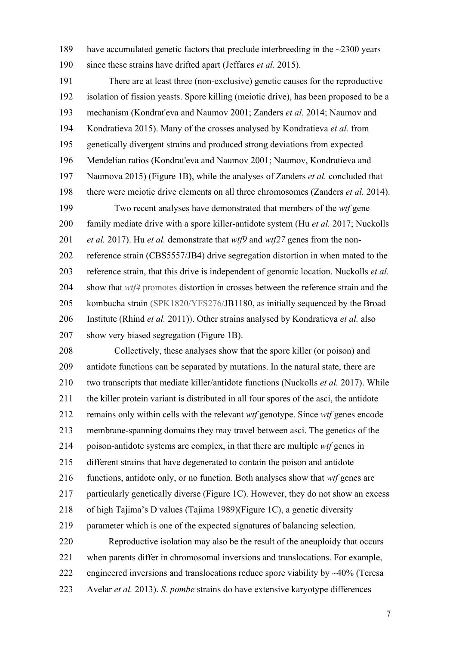189 have accumulated genetic factors that preclude interbreeding in the ~2300 years 190 since these strains have drifted apart (Jeffares *et al.* 2015).

191 There are at least three (non-exclusive) genetic causes for the reproductive 192 isolation of fission yeasts. Spore killing (meiotic drive), has been proposed to be a 193 mechanism (Kondrat'eva and Naumov 2001; Zanders *et al.* 2014; Naumov and 194 Kondratieva 2015). Many of the crosses analysed by Kondratieva *et al.* from 195 genetically divergent strains and produced strong deviations from expected 196 Mendelian ratios (Kondrat'eva and Naumov 2001; Naumov, Kondratieva and 197 Naumova 2015) (Figure 1B), while the analyses of Zanders *et al.* concluded that 198 there were meiotic drive elements on all three chromosomes (Zanders *et al.* 2014). 199 Two recent analyses have demonstrated that members of the *wtf* gene 200 family mediate drive with a spore killer-antidote system (Hu *et al.* 2017; Nuckolls 201 *et al.* 2017). Hu *et al.* demonstrate that *wtf9* and *wtf27* genes from the non-202 reference strain (CBS5557/JB4) drive segregation distortion in when mated to the 203 reference strain, that this drive is independent of genomic location. Nuckolls *et al.* 204 show that *wtf4* promotes distortion in crosses between the reference strain and the 205 kombucha strain (SPK1820/YFS276/JB1180, as initially sequenced by the Broad 206 Institute (Rhind *et al.* 2011)). Other strains analysed by Kondratieva *et al.* also 207 show very biased segregation (Figure 1B).

208 Collectively, these analyses show that the spore killer (or poison) and 209 antidote functions can be separated by mutations. In the natural state, there are 210 two transcripts that mediate killer/antidote functions (Nuckolls *et al.* 2017). While 211 the killer protein variant is distributed in all four spores of the asci, the antidote 212 remains only within cells with the relevant *wtf* genotype. Since *wtf* genes encode 213 membrane-spanning domains they may travel between asci. The genetics of the 214 poison-antidote systems are complex, in that there are multiple *wtf* genes in 215 different strains that have degenerated to contain the poison and antidote 216 functions, antidote only, or no function. Both analyses show that *wtf* genes are 217 particularly genetically diverse (Figure 1C). However, they do not show an excess 218 of high Tajima's D values (Tajima 1989)(Figure 1C), a genetic diversity 219 parameter which is one of the expected signatures of balancing selection. 220 Reproductive isolation may also be the result of the aneuploidy that occurs 221 when parents differ in chromosomal inversions and translocations. For example, 222 engineered inversions and translocations reduce spore viability by ~40% (Teresa

223 Avelar *et al.* 2013). *S. pombe* strains do have extensive karyotype differences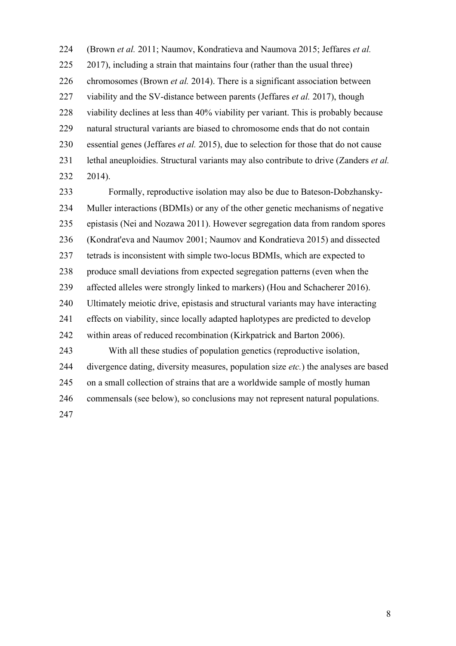224 (Brown *et al.* 2011; Naumov, Kondratieva and Naumova 2015; Jeffares *et al.* 225 2017), including a strain that maintains four (rather than the usual three) 226 chromosomes (Brown *et al.* 2014). There is a significant association between 227 viability and the SV-distance between parents (Jeffares *et al.* 2017), though 228 viability declines at less than 40% viability per variant. This is probably because 229 natural structural variants are biased to chromosome ends that do not contain 230 essential genes (Jeffares *et al.* 2015), due to selection for those that do not cause 231 lethal aneuploidies. Structural variants may also contribute to drive (Zanders *et al.* 232 2014).

233 Formally, reproductive isolation may also be due to Bateson-Dobzhansky-234 Muller interactions (BDMIs) or any of the other genetic mechanisms of negative 235 epistasis (Nei and Nozawa 2011). However segregation data from random spores 236 (Kondrat'eva and Naumov 2001; Naumov and Kondratieva 2015) and dissected 237 tetrads is inconsistent with simple two-locus BDMIs, which are expected to 238 produce small deviations from expected segregation patterns (even when the 239 affected alleles were strongly linked to markers) (Hou and Schacherer 2016). 240 Ultimately meiotic drive, epistasis and structural variants may have interacting 241 effects on viability, since locally adapted haplotypes are predicted to develop 242 within areas of reduced recombination (Kirkpatrick and Barton 2006). 243 With all these studies of population genetics (reproductive isolation, 244 divergence dating, diversity measures, population size *etc.*) the analyses are based 245 on a small collection of strains that are a worldwide sample of mostly human 246 commensals (see below), so conclusions may not represent natural populations. 247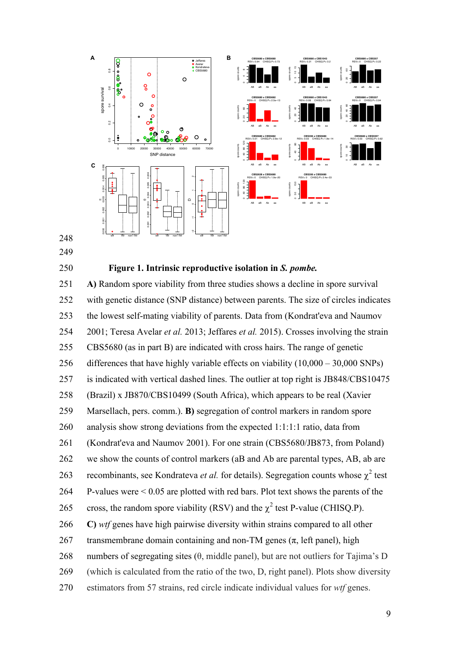

- 249
- 

### 250 **Figure 1. Intrinsic reproductive isolation in** *S. pombe.*

251 **A)** Random spore viability from three studies shows a decline in spore survival 252 with genetic distance (SNP distance) between parents. The size of circles indicates 253 the lowest self-mating viability of parents. Data from (Kondrat'eva and Naumov 254 2001; Teresa Avelar *et al.* 2013; Jeffares *et al.* 2015). Crosses involving the strain 255 CBS5680 (as in part B) are indicated with cross hairs. The range of genetic 256 differences that have highly variable effects on viability (10,000 – 30,000 SNPs) 257 is indicated with vertical dashed lines. The outlier at top right is JB848/CBS10475 258 (Brazil) x JB870/CBS10499 (South Africa), which appears to be real (Xavier 259 Marsellach, pers. comm.). **B)** segregation of control markers in random spore 260 analysis show strong deviations from the expected 1:1:1:1 ratio, data from 261 (Kondrat'eva and Naumov 2001). For one strain (CBS5680/JB873, from Poland) 262 we show the counts of control markers (aB and Ab are parental types, AB, ab are 263 recombinants, see Kondrateva *et al.* for details). Segregation counts whose  $\chi^2$  test 264 P-values were < 0.05 are plotted with red bars. Plot text shows the parents of the 265 cross, the random spore viability (RSV) and the  $\chi^2$  test P-value (CHISQ.P). 266 **C)** *wtf* genes have high pairwise diversity within strains compared to all other 267 transmembrane domain containing and non-TM genes ( $\pi$ , left panel), high 268 numbers of segregating sites  $(\theta)$ , middle panel), but are not outliers for Tajima's D 269 (which is calculated from the ratio of the two, D, right panel). Plots show diversity 270 estimators from 57 strains, red circle indicate individual values for *wtf* genes.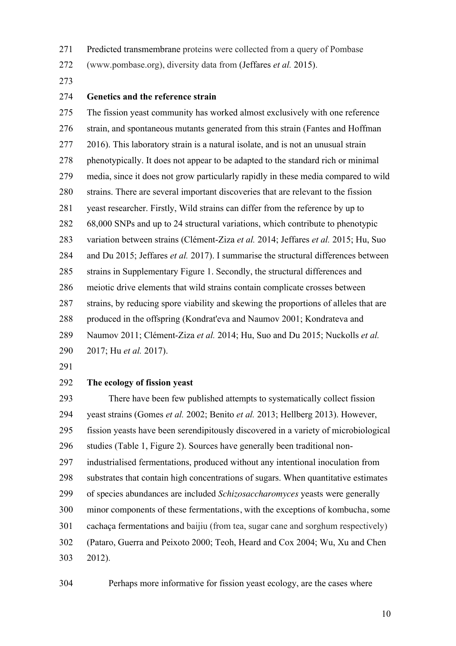271 Predicted transmembrane proteins were collected from a query of Pombase

272 (www.pombase.org), diversity data from (Jeffares *et al.* 2015).

273

# 274 **Genetics and the reference strain**

275 The fission yeast community has worked almost exclusively with one reference 276 strain, and spontaneous mutants generated from this strain (Fantes and Hoffman 277 2016). This laboratory strain is a natural isolate, and is not an unusual strain 278 phenotypically. It does not appear to be adapted to the standard rich or minimal 279 media, since it does not grow particularly rapidly in these media compared to wild 280 strains. There are several important discoveries that are relevant to the fission 281 yeast researcher. Firstly, Wild strains can differ from the reference by up to 282 68,000 SNPs and up to 24 structural variations, which contribute to phenotypic 283 variation between strains (Clément-Ziza *et al.* 2014; Jeffares *et al.* 2015; Hu, Suo 284 and Du 2015; Jeffares *et al.* 2017). I summarise the structural differences between 285 strains in Supplementary Figure 1. Secondly, the structural differences and 286 meiotic drive elements that wild strains contain complicate crosses between 287 strains, by reducing spore viability and skewing the proportions of alleles that are 288 produced in the offspring (Kondrat'eva and Naumov 2001; Kondrateva and 289 Naumov 2011; Clément-Ziza *et al.* 2014; Hu, Suo and Du 2015; Nuckolls *et al.*

- 290 2017; Hu *et al.* 2017).
- 291

### 292 **The ecology of fission yeast**

293 There have been few published attempts to systematically collect fission 294 yeast strains (Gomes *et al.* 2002; Benito *et al.* 2013; Hellberg 2013). However, 295 fission yeasts have been serendipitously discovered in a variety of microbiological 296 studies (Table 1, Figure 2). Sources have generally been traditional non-297 industrialised fermentations, produced without any intentional inoculation from 298 substrates that contain high concentrations of sugars. When quantitative estimates 299 of species abundances are included *Schizosaccharomyces* yeasts were generally 300 minor components of these fermentations, with the exceptions of kombucha, some 301 cachaça fermentations and baijiu (from tea, sugar cane and sorghum respectively) 302 (Pataro, Guerra and Peixoto 2000; Teoh, Heard and Cox 2004; Wu, Xu and Chen 303 2012).

304 Perhaps more informative for fission yeast ecology, are the cases where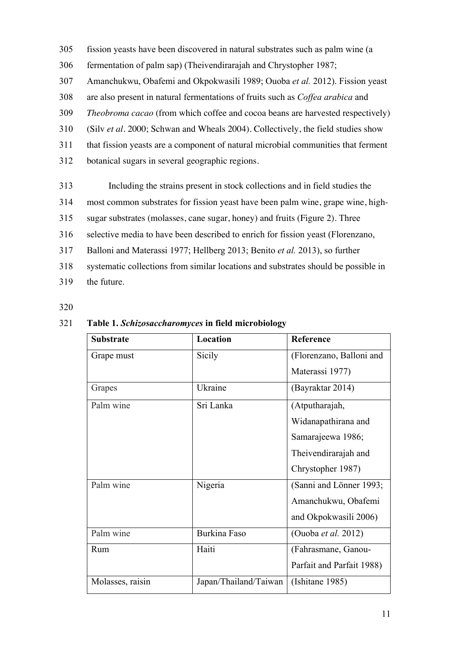- 305 fission yeasts have been discovered in natural substrates such as palm wine (a
- 306 fermentation of palm sap) (Theivendirarajah and Chrystopher 1987;
- 307 Amanchukwu, Obafemi and Okpokwasili 1989; Ouoba *et al.* 2012). Fission yeast
- 308 are also present in natural fermentations of fruits such as *Coffea arabica* and
- 309 *Theobroma cacao* (from which coffee and cocoa beans are harvested respectively)
- 310 (Silv *et al.* 2000; Schwan and Wheals 2004). Collectively, the field studies show
- 311 that fission yeasts are a component of natural microbial communities that ferment
- 312 botanical sugars in several geographic regions.
- 313 Including the strains present in stock collections and in field studies the
- 314 most common substrates for fission yeast have been palm wine, grape wine, high-
- 315 sugar substrates (molasses, cane sugar, honey) and fruits (Figure 2). Three
- 316 selective media to have been described to enrich for fission yeast (Florenzano,
- 317 Balloni and Materassi 1977; Hellberg 2013; Benito *et al.* 2013), so further
- 318 systematic collections from similar locations and substrates should be possible in
- 319 the future.

| <b>Substrate</b> | Location              | Reference                 |
|------------------|-----------------------|---------------------------|
| Grape must       | Sicily                | (Florenzano, Balloni and  |
|                  |                       | Materassi 1977)           |
| Grapes           | Ukraine               | (Bayraktar 2014)          |
| Palm wine        | Sri Lanka             | (Atputharajah,            |
|                  |                       | Widanapathirana and       |
|                  |                       | Samarajeewa 1986;         |
|                  |                       | Theivendirarajah and      |
|                  |                       | Chrystopher 1987)         |
| Palm wine        | Nigeria               | (Sanni and Lönner 1993;   |
|                  |                       | Amanchukwu, Obafemi       |
|                  |                       | and Okpokwasili 2006)     |
| Palm wine        | <b>Burkina Faso</b>   | (Ouoba et al. 2012)       |
| Rum              | Haiti                 | (Fahrasmane, Ganou-       |
|                  |                       | Parfait and Parfait 1988) |
| Molasses, raisin | Japan/Thailand/Taiwan | (Ishitane 1985)           |

# 321 **Table 1.** *Schizosaccharomyces* **in field microbiology**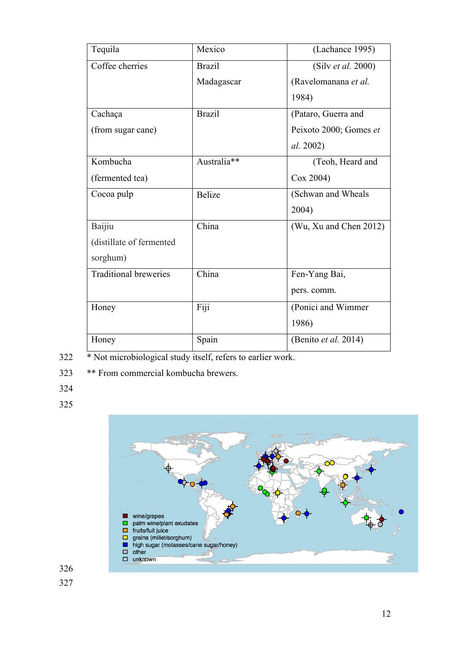| Tequila                      | Mexico             | (Lachance 1995)        |
|------------------------------|--------------------|------------------------|
| Coffee cherries              | <b>Brazil</b>      | (Silv et al. 2000)     |
|                              | Madagascar         | (Ravelomanana et al.   |
|                              |                    | 1984)                  |
| Cachaça                      | <b>Brazil</b>      | (Pataro, Guerra and    |
| (from sugar cane)            |                    | Peixoto 2000; Gomes et |
|                              |                    | al. 2002)              |
| Kombucha                     | Australia**        | (Teoh, Heard and       |
| (fermented tea)              |                    | Cox 2004)              |
| Cocoa pulp                   | <b>Belize</b>      | (Schwan and Wheals     |
|                              |                    | 2004)                  |
| Baijiu                       | China              | (Wu, Xu and Chen 2012) |
| (distillate of fermented     |                    |                        |
| sorghum)                     |                    |                        |
| <b>Traditional breweries</b> | $\overline{China}$ | Fen-Yang Bai,          |
|                              |                    | pers. comm.            |
| Honey                        | Fiji               | (Ponici and Wimmer     |
|                              |                    | 1986)                  |
| Honey                        | Spain              | (Benito et al. 2014)   |

- 322 \* Not microbiological study itself, refers to earlier work.
- 323 \*\* From commercial kombucha brewers.
- 324
- 325

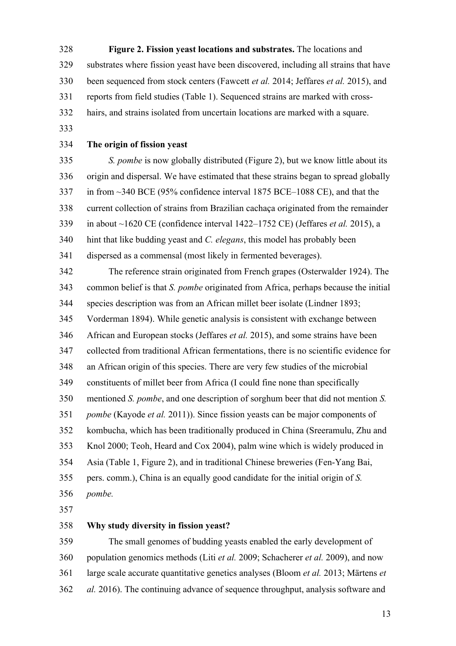328 **Figure 2. Fission yeast locations and substrates.** The locations and 329 substrates where fission yeast have been discovered, including all strains that have 330 been sequenced from stock centers (Fawcett *et al.* 2014; Jeffares *et al.* 2015), and 331 reports from field studies (Table 1). Sequenced strains are marked with cross-332 hairs, and strains isolated from uncertain locations are marked with a square. 333 334 **The origin of fission yeast**  335 *S. pombe* is now globally distributed (Figure 2), but we know little about its 336 origin and dispersal. We have estimated that these strains began to spread globally 337 in from ~340 BCE (95% confidence interval 1875 BCE–1088 CE), and that the 338 current collection of strains from Brazilian cachaça originated from the remainder 339 in about ~1620 CE (confidence interval 1422–1752 CE) (Jeffares *et al.* 2015), a 340 hint that like budding yeast and *C. elegans*, this model has probably been 341 dispersed as a commensal (most likely in fermented beverages). 342 The reference strain originated from French grapes (Osterwalder 1924). The 343 common belief is that *S. pombe* originated from Africa, perhaps because the initial 344 species description was from an African millet beer isolate (Lindner 1893; 345 Vorderman 1894). While genetic analysis is consistent with exchange between 346 African and European stocks (Jeffares *et al.* 2015), and some strains have been 347 collected from traditional African fermentations, there is no scientific evidence for 348 an African origin of this species. There are very few studies of the microbial 349 constituents of millet beer from Africa (I could fine none than specifically 350 mentioned *S. pombe*, and one description of sorghum beer that did not mention *S.*  351 *pombe* (Kayode *et al.* 2011)). Since fission yeasts can be major components of 352 kombucha, which has been traditionally produced in China (Sreeramulu, Zhu and 353 Knol 2000; Teoh, Heard and Cox 2004), palm wine which is widely produced in 354 Asia (Table 1, Figure 2), and in traditional Chinese breweries (Fen-Yang Bai, 355 pers. comm.), China is an equally good candidate for the initial origin of *S.*  356 *pombe.* 357 358 **Why study diversity in fission yeast?**  359 The small genomes of budding yeasts enabled the early development of 360 population genomics methods (Liti *et al.* 2009; Schacherer *et al.* 2009), and now

361 large scale accurate quantitative genetics analyses (Bloom *et al.* 2013; Märtens *et*  362 *al.* 2016). The continuing advance of sequence throughput, analysis software and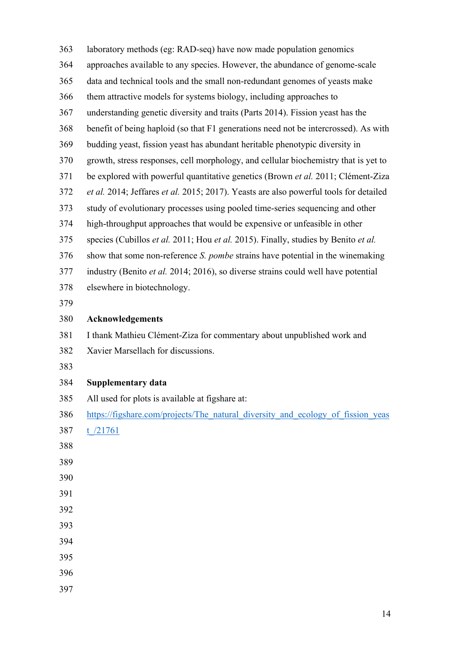| 363 | laboratory methods (eg: RAD-seq) have now made population genomics                    |
|-----|---------------------------------------------------------------------------------------|
| 364 | approaches available to any species. However, the abundance of genome-scale           |
| 365 | data and technical tools and the small non-redundant genomes of yeasts make           |
| 366 | them attractive models for systems biology, including approaches to                   |
| 367 | understanding genetic diversity and traits (Parts 2014). Fission yeast has the        |
| 368 | benefit of being haploid (so that F1 generations need not be intercrossed). As with   |
| 369 | budding yeast, fission yeast has abundant heritable phenotypic diversity in           |
| 370 | growth, stress responses, cell morphology, and cellular biochemistry that is yet to   |
| 371 | be explored with powerful quantitative genetics (Brown et al. 2011; Clément-Ziza      |
| 372 | et al. 2014; Jeffares et al. 2015; 2017). Yeasts are also powerful tools for detailed |
| 373 | study of evolutionary processes using pooled time-series sequencing and other         |
| 374 | high-throughput approaches that would be expensive or unfeasible in other             |
| 375 | species (Cubillos et al. 2011; Hou et al. 2015). Finally, studies by Benito et al.    |
| 376 | show that some non-reference S. pombe strains have potential in the winemaking        |
| 377 | industry (Benito et al. 2014; 2016), so diverse strains could well have potential     |
| 378 | elsewhere in biotechnology.                                                           |
| 379 |                                                                                       |
| 380 | Acknowledgements                                                                      |
| 381 | I thank Mathieu Clément-Ziza for commentary about unpublished work and                |
| 382 | Xavier Marsellach for discussions.                                                    |
| 383 |                                                                                       |
| 384 | <b>Supplementary data</b>                                                             |
| 385 | All used for plots is available at figshare at:                                       |
| 386 | https://figshare.com/projects/The natural diversity and ecology of fission yeas       |
| 387 | t $/21761$                                                                            |
| 388 |                                                                                       |
| 389 |                                                                                       |
|     |                                                                                       |
| 390 |                                                                                       |
| 391 |                                                                                       |
| 392 |                                                                                       |
| 393 |                                                                                       |
| 394 |                                                                                       |
| 395 |                                                                                       |
| 396 |                                                                                       |
| 397 |                                                                                       |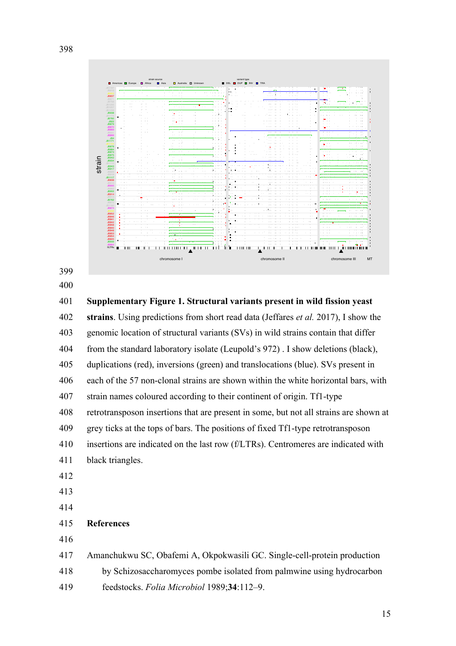



401 **Supplementary Figure 1. Structural variants present in wild fission yeast**  402 **strains**. Using predictions from short read data (Jeffares *et al.* 2017), I show the 403 genomic location of structural variants (SVs) in wild strains contain that differ 404 from the standard laboratory isolate (Leupold's 972) . I show deletions (black), 405 duplications (red), inversions (green) and translocations (blue). SVs present in 406 each of the 57 non-clonal strains are shown within the white horizontal bars, with 407 strain names coloured according to their continent of origin. Tf1-type 408 retrotransposon insertions that are present in some, but not all strains are shown at 409 grey ticks at the tops of bars. The positions of fixed Tf1-type retrotransposon 410 insertions are indicated on the last row (f/LTRs). Centromeres are indicated with 411 black triangles. 412 413 414 415 **References**  416 417 Amanchukwu SC, Obafemi A, Okpokwasili GC. Single-cell-protein production

- 418 by Schizosaccharomyces pombe isolated from palmwine using hydrocarbon
- 419 feedstocks. *Folia Microbiol* 1989;**34**:112–9.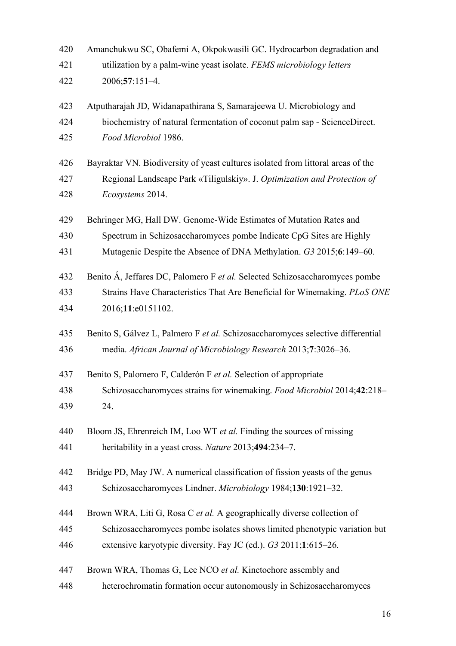| 420 | Amanchukwu SC, Obafemi A, Okpokwasili GC. Hydrocarbon degradation and            |
|-----|----------------------------------------------------------------------------------|
| 421 | utilization by a palm-wine yeast isolate. FEMS microbiology letters              |
| 422 | 2006;57:151-4.                                                                   |
| 423 | Atputharajah JD, Widanapathirana S, Samarajeewa U. Microbiology and              |
| 424 | biochemistry of natural fermentation of coconut palm sap - ScienceDirect.        |
| 425 | Food Microbiol 1986.                                                             |
| 426 | Bayraktar VN. Biodiversity of yeast cultures isolated from littoral areas of the |
| 427 | Regional Landscape Park «Tiligulskiy». J. Optimization and Protection of         |
| 428 | Ecosystems 2014.                                                                 |
| 429 | Behringer MG, Hall DW. Genome-Wide Estimates of Mutation Rates and               |
| 430 | Spectrum in Schizosaccharomyces pombe Indicate CpG Sites are Highly              |
| 431 | Mutagenic Despite the Absence of DNA Methylation. G3 2015;6:149-60.              |
| 432 | Benito Á, Jeffares DC, Palomero F et al. Selected Schizosaccharomyces pombe      |
| 433 | Strains Have Characteristics That Are Beneficial for Winemaking. PLoS ONE        |
| 434 | 2016;11:e0151102.                                                                |
| 435 | Benito S, Gálvez L, Palmero F et al. Schizosaccharomyces selective differential  |
| 436 | media. African Journal of Microbiology Research 2013;7:3026-36.                  |
| 437 | Benito S, Palomero F, Calderón F et al. Selection of appropriate                 |
| 438 | Schizosaccharomyces strains for winemaking. Food Microbiol 2014;42:218-          |
| 439 | 24.                                                                              |
| 440 | Bloom JS, Ehrenreich IM, Loo WT et al. Finding the sources of missing            |
| 441 | heritability in a yeast cross. Nature 2013;494:234-7.                            |
| 442 | Bridge PD, May JW. A numerical classification of fission yeasts of the genus     |
| 443 | Schizosaccharomyces Lindner. Microbiology 1984;130:1921-32.                      |
| 444 | Brown WRA, Liti G, Rosa C et al. A geographically diverse collection of          |
| 445 | Schizosaccharomyces pombe isolates shows limited phenotypic variation but        |
| 446 | extensive karyotypic diversity. Fay JC (ed.). G3 2011;1:615–26.                  |
| 447 | Brown WRA, Thomas G, Lee NCO et al. Kinetochore assembly and                     |
| 448 | heterochromatin formation occur autonomously in Schizosaccharomyces              |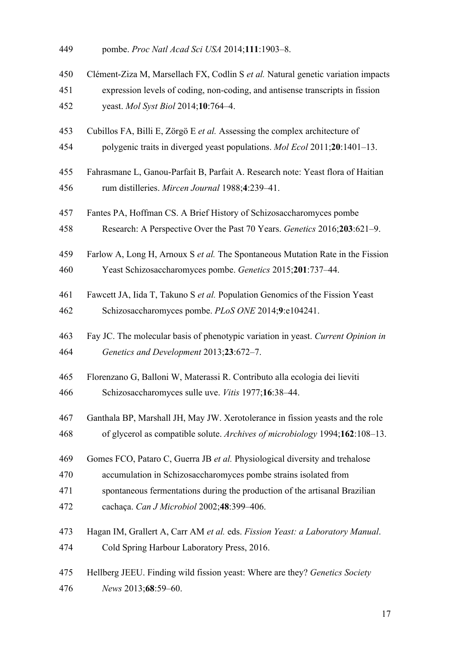| 449 | pombe. Proc Natl Acad Sci USA 2014;111:1903-8. |
|-----|------------------------------------------------|
|-----|------------------------------------------------|

- 450 Clément-Ziza M, Marsellach FX, Codlin S *et al.* Natural genetic variation impacts
- 451 expression levels of coding, non-coding, and antisense transcripts in fission 452 yeast. *Mol Syst Biol* 2014;**10**:764–4.
- 453 Cubillos FA, Billi E, Zörgö E *et al.* Assessing the complex architecture of
- 454 polygenic traits in diverged yeast populations. *Mol Ecol* 2011;**20**:1401–13.
- 455 Fahrasmane L, Ganou-Parfait B, Parfait A. Research note: Yeast flora of Haitian 456 rum distilleries. *Mircen Journal* 1988;**4**:239–41.
- 457 Fantes PA, Hoffman CS. A Brief History of Schizosaccharomyces pombe
- 458 Research: A Perspective Over the Past 70 Years. *Genetics* 2016;**203**:621–9.
- 459 Farlow A, Long H, Arnoux S *et al.* The Spontaneous Mutation Rate in the Fission 460 Yeast Schizosaccharomyces pombe. *Genetics* 2015;**201**:737–44.
- 461 Fawcett JA, Iida T, Takuno S *et al.* Population Genomics of the Fission Yeast 462 Schizosaccharomyces pombe. *PLoS ONE* 2014;**9**:e104241.
- 463 Fay JC. The molecular basis of phenotypic variation in yeast. *Current Opinion in*  464 *Genetics and Development* 2013;**23**:672–7.
- 465 Florenzano G, Balloni W, Materassi R. Contributo alla ecologia dei lieviti
- 466 Schizosaccharomyces sulle uve. *Vitis* 1977;**16**:38–44.
- 467 Ganthala BP, Marshall JH, May JW. Xerotolerance in fission yeasts and the role 468 of glycerol as compatible solute. *Archives of microbiology* 1994;**162**:108–13.
- 469 Gomes FCO, Pataro C, Guerra JB *et al.* Physiological diversity and trehalose
- 470 accumulation in Schizosaccharomyces pombe strains isolated from
- 471 spontaneous fermentations during the production of the artisanal Brazilian
- 472 cachaça. *Can J Microbiol* 2002;**48**:399–406.
- 473 Hagan IM, Grallert A, Carr AM *et al.* eds. *Fission Yeast: a Laboratory Manual*. 474 Cold Spring Harbour Laboratory Press, 2016.
- 475 Hellberg JEEU. Finding wild fission yeast: Where are they? *Genetics Society*  476 *News* 2013;**68**:59–60.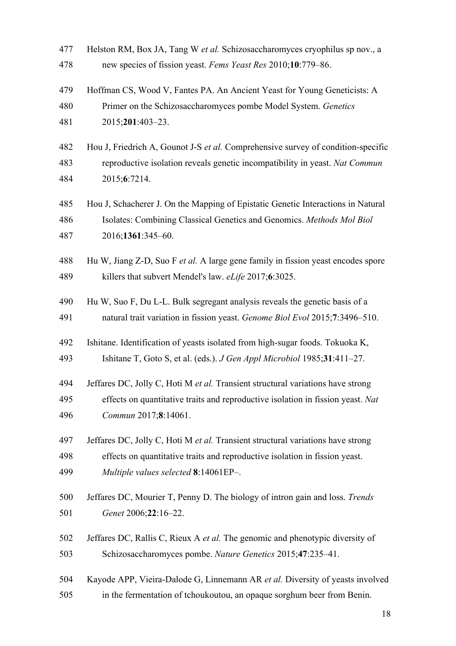- 477 Helston RM, Box JA, Tang W *et al.* Schizosaccharomyces cryophilus sp nov., a 478 new species of fission yeast. *Fems Yeast Res* 2010;**10**:779–86.
- 479 Hoffman CS, Wood V, Fantes PA. An Ancient Yeast for Young Geneticists: A 480 Primer on the Schizosaccharomyces pombe Model System. *Genetics* 481 2015;**201**:403–23.
- 482 Hou J, Friedrich A, Gounot J-S *et al.* Comprehensive survey of condition-specific 483 reproductive isolation reveals genetic incompatibility in yeast. *Nat Commun* 484 2015;**6**:7214.
- 485 Hou J, Schacherer J. On the Mapping of Epistatic Genetic Interactions in Natural 486 Isolates: Combining Classical Genetics and Genomics. *Methods Mol Biol* 487 2016;**1361**:345–60.
- 488 Hu W, Jiang Z-D, Suo F *et al.* A large gene family in fission yeast encodes spore 489 killers that subvert Mendel's law. *eLife* 2017;**6**:3025.
- 490 Hu W, Suo F, Du L-L. Bulk segregant analysis reveals the genetic basis of a 491 natural trait variation in fission yeast. *Genome Biol Evol* 2015;**7**:3496–510.
- 492 Ishitane. Identification of yeasts isolated from high-sugar foods. Tokuoka K, 493 Ishitane T, Goto S, et al. (eds.). *J Gen Appl Microbiol* 1985;**31**:411–27.
- 494 Jeffares DC, Jolly C, Hoti M *et al.* Transient structural variations have strong
- 495 effects on quantitative traits and reproductive isolation in fission yeast. *Nat*  496 *Commun* 2017;**8**:14061.
- 497 Jeffares DC, Jolly C, Hoti M *et al.* Transient structural variations have strong 498 effects on quantitative traits and reproductive isolation in fission yeast. 499 *Multiple values selected* **8**:14061EP–.
- 500 Jeffares DC, Mourier T, Penny D. The biology of intron gain and loss. *Trends*  501 *Genet* 2006;**22**:16–22.
- 502 Jeffares DC, Rallis C, Rieux A *et al.* The genomic and phenotypic diversity of 503 Schizosaccharomyces pombe. *Nature Genetics* 2015;**47**:235–41.
- 504 Kayode APP, Vieira-Dalode G, Linnemann AR *et al.* Diversity of yeasts involved 505 in the fermentation of tchoukoutou, an opaque sorghum beer from Benin.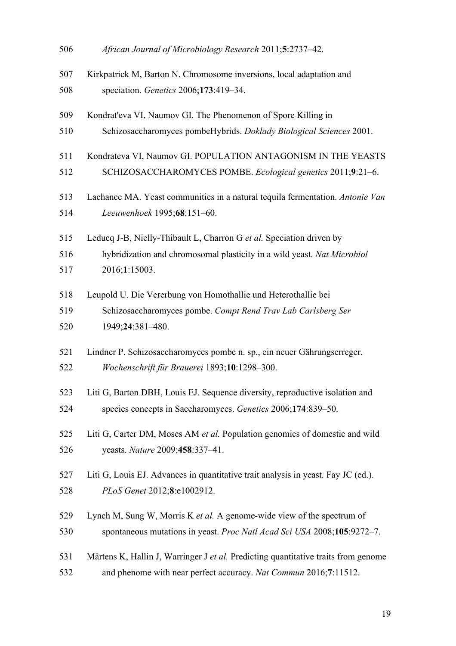| 506 | African Journal of Microbiology Research 2011;5:2737-42.                           |
|-----|------------------------------------------------------------------------------------|
| 507 | Kirkpatrick M, Barton N. Chromosome inversions, local adaptation and               |
| 508 | speciation. Genetics 2006;173:419-34.                                              |
| 509 | Kondrat'eva VI, Naumov GI. The Phenomenon of Spore Killing in                      |
| 510 | Schizosaccharomyces pombeHybrids. Doklady Biological Sciences 2001.                |
| 511 | Kondrateva VI, Naumov GI. POPULATION ANTAGONISM IN THE YEASTS                      |
| 512 | SCHIZOSACCHAROMYCES POMBE. Ecological genetics 2011;9:21-6.                        |
| 513 | Lachance MA. Yeast communities in a natural tequila fermentation. Antonie Van      |
| 514 | Leeuwenhoek 1995;68:151-60.                                                        |
| 515 | Leducq J-B, Nielly-Thibault L, Charron G et al. Speciation driven by               |
| 516 | hybridization and chromosomal plasticity in a wild yeast. Nat Microbiol            |
| 517 | 2016;1:15003.                                                                      |
| 518 | Leupold U. Die Vererbung von Homothallie und Heterothallie bei                     |
| 519 | Schizosaccharomyces pombe. Compt Rend Trav Lab Carlsberg Ser                       |
| 520 | 1949;24:381-480.                                                                   |
| 521 | Lindner P. Schizosaccharomyces pombe n. sp., ein neuer Gährungserreger.            |
| 522 | Wochenschrift für Brauerei 1893;10:1298-300.                                       |
| 523 | Liti G, Barton DBH, Louis EJ. Sequence diversity, reproductive isolation and       |
| 524 | species concepts in Saccharomyces. Genetics 2006;174:839-50.                       |
| 525 | Liti G, Carter DM, Moses AM et al. Population genomics of domestic and wild        |
| 526 | yeasts. Nature 2009;458:337-41.                                                    |
| 527 | Liti G, Louis EJ. Advances in quantitative trait analysis in yeast. Fay JC (ed.).  |
| 528 | PLoS Genet 2012;8:e1002912.                                                        |
| 529 | Lynch M, Sung W, Morris K et al. A genome-wide view of the spectrum of             |
| 530 | spontaneous mutations in yeast. Proc Natl Acad Sci USA 2008;105:9272-7.            |
| 531 | Märtens K, Hallin J, Warringer J et al. Predicting quantitative traits from genome |
| 532 | and phenome with near perfect accuracy. Nat Commun 2016;7:11512.                   |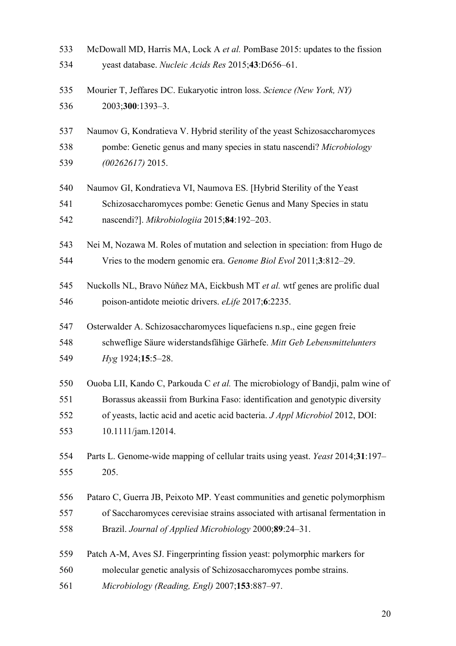| 533 | McDowall MD, Harris MA, Lock A et al. PomBase 2015: updates to the fission      |
|-----|---------------------------------------------------------------------------------|
| 534 | yeast database. Nucleic Acids Res 2015;43:D656-61.                              |
| 535 | Mourier T, Jeffares DC. Eukaryotic intron loss. Science (New York, NY)          |
| 536 | 2003;300:1393-3.                                                                |
| 537 | Naumov G, Kondratieva V. Hybrid sterility of the yeast Schizosaccharomyces      |
| 538 | pombe: Genetic genus and many species in statu nascendi? Microbiology           |
| 539 | $(00262617)$ 2015.                                                              |
| 540 | Naumov GI, Kondratieva VI, Naumova ES. [Hybrid Sterility of the Yeast           |
| 541 | Schizosaccharomyces pombe: Genetic Genus and Many Species in statu              |
| 542 | nascendi?]. Mikrobiologiia 2015;84:192-203.                                     |
| 543 | Nei M, Nozawa M. Roles of mutation and selection in speciation: from Hugo de    |
| 544 | Vries to the modern genomic era. Genome Biol Evol 2011;3:812-29.                |
| 545 | Nuckolls NL, Bravo Núñez MA, Eickbush MT et al. wtf genes are prolific dual     |
| 546 | poison-antidote meiotic drivers. eLife 2017;6:2235.                             |
| 547 | Osterwalder A. Schizosaccharomyces liquefaciens n.sp., eine gegen freie         |
| 548 | schweflige Säure widerstandsfähige Gärhefe. Mitt Geb Lebensmittelunters         |
| 549 | Hyg 1924;15:5-28.                                                               |
| 550 | Ouoba LII, Kando C, Parkouda C et al. The microbiology of Bandji, palm wine of  |
| 551 | Borassus akeassii from Burkina Faso: identification and genotypic diversity     |
| 552 | of yeasts, lactic acid and acetic acid bacteria. J Appl Microbiol 2012, DOI:    |
| 553 | 10.1111/jam.12014.                                                              |
| 554 | Parts L. Genome-wide mapping of cellular traits using yeast. Yeast 2014;31:197- |
| 555 | 205.                                                                            |
| 556 | Pataro C, Guerra JB, Peixoto MP. Yeast communities and genetic polymorphism     |
| 557 | of Saccharomyces cerevisiae strains associated with artisanal fermentation in   |
| 558 | Brazil. Journal of Applied Microbiology 2000;89:24-31.                          |
| 559 | Patch A-M, Aves SJ. Fingerprinting fission yeast: polymorphic markers for       |
| 560 | molecular genetic analysis of Schizosaccharomyces pombe strains.                |
| 561 | Microbiology (Reading, Engl) 2007;153:887-97.                                   |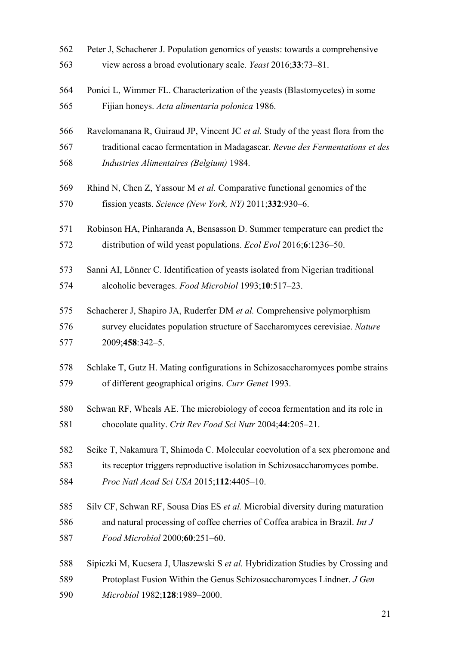| 562 | Peter J, Schacherer J. Population genomics of yeasts: towards a comprehensive    |
|-----|----------------------------------------------------------------------------------|
| 563 | view across a broad evolutionary scale. Yeast 2016;33:73-81.                     |
| 564 | Ponici L, Wimmer FL. Characterization of the yeasts (Blastomycetes) in some      |
| 565 | Fijian honeys. Acta alimentaria polonica 1986.                                   |
| 566 | Ravelomanana R, Guiraud JP, Vincent JC et al. Study of the yeast flora from the  |
| 567 | traditional cacao fermentation in Madagascar. Revue des Fermentations et des     |
| 568 | Industries Alimentaires (Belgium) 1984.                                          |
| 569 | Rhind N, Chen Z, Yassour M et al. Comparative functional genomics of the         |
| 570 | fission yeasts. Science (New York, NY) 2011;332:930-6.                           |
| 571 | Robinson HA, Pinharanda A, Bensasson D. Summer temperature can predict the       |
| 572 | distribution of wild yeast populations. Ecol Evol 2016;6:1236-50.                |
| 573 | Sanni AI, Lönner C. Identification of yeasts isolated from Nigerian traditional  |
| 574 | alcoholic beverages. Food Microbiol 1993;10:517-23.                              |
| 575 | Schacherer J, Shapiro JA, Ruderfer DM et al. Comprehensive polymorphism          |
| 576 | survey elucidates population structure of Saccharomyces cerevisiae. Nature       |
| 577 | 2009;458:342-5.                                                                  |
| 578 | Schlake T, Gutz H. Mating configurations in Schizosaccharomyces pombe strains    |
| 579 | of different geographical origins. Curr Genet 1993.                              |
| 580 | Schwan RF, Wheals AE. The microbiology of cocoa fermentation and its role in     |
| 581 | chocolate quality. Crit Rev Food Sci Nutr 2004;44:205-21.                        |
| 582 | Seike T, Nakamura T, Shimoda C. Molecular coevolution of a sex pheromone and     |
| 583 | its receptor triggers reproductive isolation in Schizosaccharomyces pombe.       |
| 584 | Proc Natl Acad Sci USA 2015;112:4405-10.                                         |
| 585 | Silv CF, Schwan RF, Sousa Dias ES et al. Microbial diversity during maturation   |
| 586 | and natural processing of coffee cherries of Coffea arabica in Brazil. Int J     |
| 587 | Food Microbiol 2000;60:251-60.                                                   |
| 588 | Sipiczki M, Kucsera J, Ulaszewski S et al. Hybridization Studies by Crossing and |
| 589 | Protoplast Fusion Within the Genus Schizosaccharomyces Lindner. J Gen            |
| 590 | Microbiol 1982;128:1989-2000.                                                    |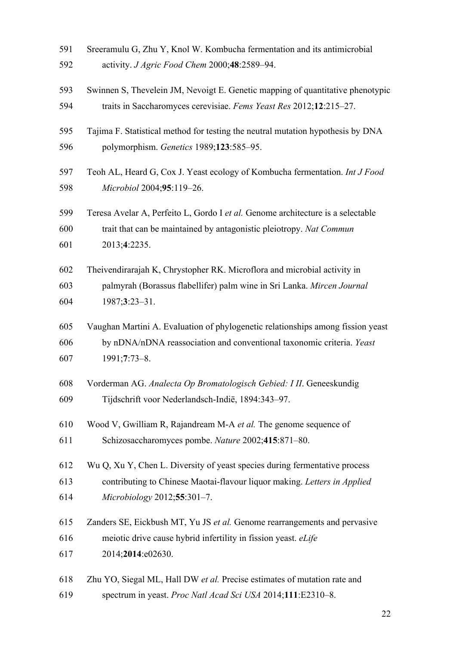| 591 | Sreeramulu G, Zhu Y, Knol W. Kombucha fermentation and its antimicrobial        |
|-----|---------------------------------------------------------------------------------|
| 592 | activity. J Agric Food Chem 2000;48:2589-94.                                    |
| 593 | Swinnen S, Thevelein JM, Nevoigt E. Genetic mapping of quantitative phenotypic  |
| 594 | traits in Saccharomyces cerevisiae. Fems Yeast Res 2012;12:215-27.              |
| 595 | Tajima F. Statistical method for testing the neutral mutation hypothesis by DNA |
| 596 | polymorphism. Genetics 1989;123:585-95.                                         |
| 597 | Teoh AL, Heard G, Cox J. Yeast ecology of Kombucha fermentation. Int J Food     |
| 598 | Microbiol 2004;95:119-26.                                                       |
| 599 | Teresa Avelar A, Perfeito L, Gordo I et al. Genome architecture is a selectable |
| 600 | trait that can be maintained by antagonistic pleiotropy. Nat Commun             |
| 601 | 2013;4:2235.                                                                    |
| 602 | Theivendirarajah K, Chrystopher RK. Microflora and microbial activity in        |
| 603 | palmyrah (Borassus flabellifer) palm wine in Sri Lanka. Mircen Journal          |
| 604 | $1987;3:23-31.$                                                                 |
| 605 | Vaughan Martini A. Evaluation of phylogenetic relationships among fission yeast |
| 606 | by nDNA/nDNA reassociation and conventional taxonomic criteria. Yeast           |
| 607 | 1991;7:73-8.                                                                    |
| 608 | Vorderman AG. Analecta Op Bromatologisch Gebied: I II. Geneeskundig             |
| 609 | Tijdschrift voor Nederlandsch-Indië, 1894:343-97.                               |
| 610 | Wood V, Gwilliam R, Rajandream M-A et al. The genome sequence of                |
| 611 | Schizosaccharomyces pombe. Nature 2002;415:871-80.                              |
| 612 | Wu Q, Xu Y, Chen L. Diversity of yeast species during fermentative process      |
| 613 | contributing to Chinese Maotai-flavour liquor making. Letters in Applied        |
| 614 | Microbiology 2012;55:301-7.                                                     |
| 615 | Zanders SE, Eickbush MT, Yu JS et al. Genome rearrangements and pervasive       |
| 616 | meiotic drive cause hybrid infertility in fission yeast. eLife                  |
| 617 | 2014;2014:e02630.                                                               |
| 618 | Zhu YO, Siegal ML, Hall DW et al. Precise estimates of mutation rate and        |
| 619 | spectrum in yeast. Proc Natl Acad Sci USA 2014;111:E2310-8.                     |